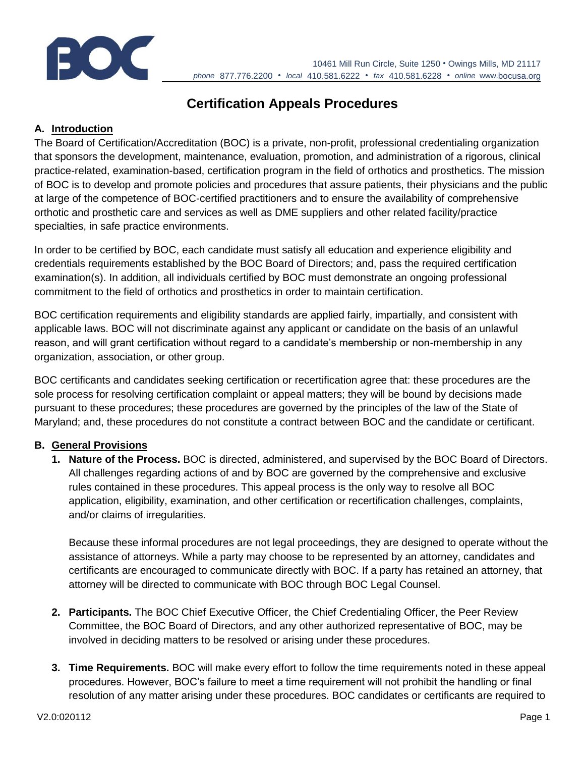

10461 Mill Run Circle, Suite 1250 • Owings Mills, MD 21117 *phone* 877.776.2200 • *local* 410.581.6222 • *fax* 410.581.6228 • *online* www.bocusa.org

# **Certification Appeals Procedures**

# **A. Introduction**

The Board of Certification/Accreditation (BOC) is a private, non-profit, professional credentialing organization that sponsors the development, maintenance, evaluation, promotion, and administration of a rigorous, clinical practice-related, examination-based, certification program in the field of orthotics and prosthetics. The mission of BOC is to develop and promote policies and procedures that assure patients, their physicians and the public at large of the competence of BOC-certified practitioners and to ensure the availability of comprehensive orthotic and prosthetic care and services as well as DME suppliers and other related facility/practice specialties, in safe practice environments.

In order to be certified by BOC, each candidate must satisfy all education and experience eligibility and credentials requirements established by the BOC Board of Directors; and, pass the required certification examination(s). In addition, all individuals certified by BOC must demonstrate an ongoing professional commitment to the field of orthotics and prosthetics in order to maintain certification.

BOC certification requirements and eligibility standards are applied fairly, impartially, and consistent with applicable laws. BOC will not discriminate against any applicant or candidate on the basis of an unlawful reason, and will grant certification without regard to a candidate's membership or non-membership in any organization, association, or other group.

BOC certificants and candidates seeking certification or recertification agree that: these procedures are the sole process for resolving certification complaint or appeal matters; they will be bound by decisions made pursuant to these procedures; these procedures are governed by the principles of the law of the State of Maryland; and, these procedures do not constitute a contract between BOC and the candidate or certificant.

#### **B. General Provisions**

**1. Nature of the Process.** BOC is directed, administered, and supervised by the BOC Board of Directors. All challenges regarding actions of and by BOC are governed by the comprehensive and exclusive rules contained in these procedures. This appeal process is the only way to resolve all BOC application, eligibility, examination, and other certification or recertification challenges, complaints, and/or claims of irregularities.

Because these informal procedures are not legal proceedings, they are designed to operate without the assistance of attorneys. While a party may choose to be represented by an attorney, candidates and certificants are encouraged to communicate directly with BOC. If a party has retained an attorney, that attorney will be directed to communicate with BOC through BOC Legal Counsel.

- **2. Participants.** The BOC Chief Executive Officer, the Chief Credentialing Officer, the Peer Review Committee, the BOC Board of Directors, and any other authorized representative of BOC, may be involved in deciding matters to be resolved or arising under these procedures.
- **3. Time Requirements.** BOC will make every effort to follow the time requirements noted in these appeal procedures. However, BOC's failure to meet a time requirement will not prohibit the handling or final resolution of any matter arising under these procedures. BOC candidates or certificants are required to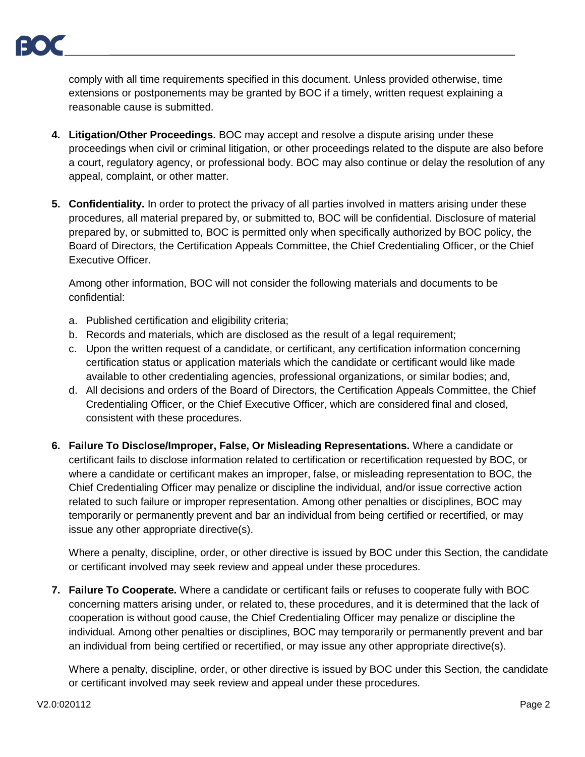comply with all time requirements specified in this document. Unless provided otherwise, time extensions or postponements may be granted by BOC if a timely, written request explaining a reasonable cause is submitted.

- **4. Litigation/Other Proceedings.** BOC may accept and resolve a dispute arising under these proceedings when civil or criminal litigation, or other proceedings related to the dispute are also before a court, regulatory agency, or professional body. BOC may also continue or delay the resolution of any appeal, complaint, or other matter.
- **5. Confidentiality.** In order to protect the privacy of all parties involved in matters arising under these procedures, all material prepared by, or submitted to, BOC will be confidential. Disclosure of material prepared by, or submitted to, BOC is permitted only when specifically authorized by BOC policy, the Board of Directors, the Certification Appeals Committee, the Chief Credentialing Officer, or the Chief Executive Officer.

Among other information, BOC will not consider the following materials and documents to be confidential:

- a. Published certification and eligibility criteria;
- b. Records and materials, which are disclosed as the result of a legal requirement;
- c. Upon the written request of a candidate, or certificant, any certification information concerning certification status or application materials which the candidate or certificant would like made available to other credentialing agencies, professional organizations, or similar bodies; and,
- d. All decisions and orders of the Board of Directors, the Certification Appeals Committee, the Chief Credentialing Officer, or the Chief Executive Officer, which are considered final and closed, consistent with these procedures.
- **6. Failure To Disclose/Improper, False, Or Misleading Representations.** Where a candidate or certificant fails to disclose information related to certification or recertification requested by BOC, or where a candidate or certificant makes an improper, false, or misleading representation to BOC, the Chief Credentialing Officer may penalize or discipline the individual, and/or issue corrective action related to such failure or improper representation. Among other penalties or disciplines, BOC may temporarily or permanently prevent and bar an individual from being certified or recertified, or may issue any other appropriate directive(s).

Where a penalty, discipline, order, or other directive is issued by BOC under this Section, the candidate or certificant involved may seek review and appeal under these procedures.

**7. Failure To Cooperate.** Where a candidate or certificant fails or refuses to cooperate fully with BOC concerning matters arising under, or related to, these procedures, and it is determined that the lack of cooperation is without good cause, the Chief Credentialing Officer may penalize or discipline the individual. Among other penalties or disciplines, BOC may temporarily or permanently prevent and bar an individual from being certified or recertified, or may issue any other appropriate directive(s).

Where a penalty, discipline, order, or other directive is issued by BOC under this Section, the candidate or certificant involved may seek review and appeal under these procedures.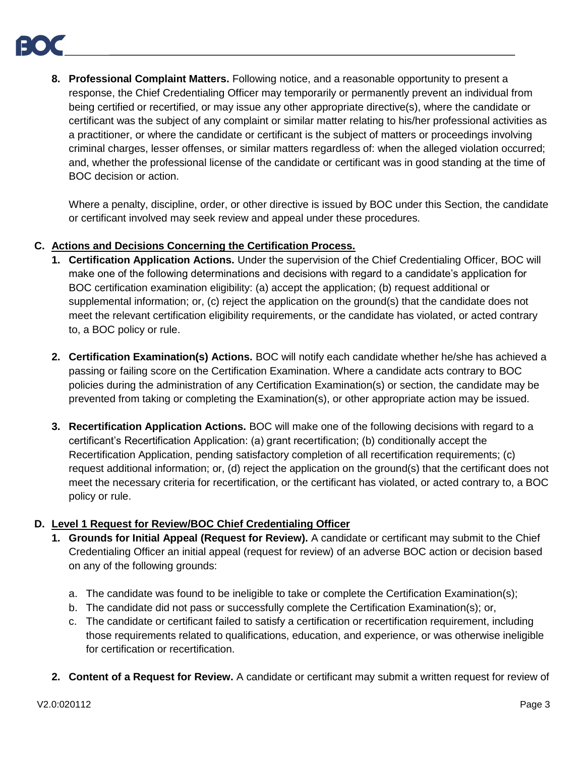**8. Professional Complaint Matters.** Following notice, and a reasonable opportunity to present a response, the Chief Credentialing Officer may temporarily or permanently prevent an individual from being certified or recertified, or may issue any other appropriate directive(s), where the candidate or certificant was the subject of any complaint or similar matter relating to his/her professional activities as a practitioner, or where the candidate or certificant is the subject of matters or proceedings involving criminal charges, lesser offenses, or similar matters regardless of: when the alleged violation occurred; and, whether the professional license of the candidate or certificant was in good standing at the time of BOC decision or action.

Where a penalty, discipline, order, or other directive is issued by BOC under this Section, the candidate or certificant involved may seek review and appeal under these procedures.

#### **C. Actions and Decisions Concerning the Certification Process.**

- **1. Certification Application Actions.** Under the supervision of the Chief Credentialing Officer, BOC will make one of the following determinations and decisions with regard to a candidate's application for BOC certification examination eligibility: (a) accept the application; (b) request additional or supplemental information; or, (c) reject the application on the ground(s) that the candidate does not meet the relevant certification eligibility requirements, or the candidate has violated, or acted contrary to, a BOC policy or rule.
- **2. Certification Examination(s) Actions.** BOC will notify each candidate whether he/she has achieved a passing or failing score on the Certification Examination. Where a candidate acts contrary to BOC policies during the administration of any Certification Examination(s) or section, the candidate may be prevented from taking or completing the Examination(s), or other appropriate action may be issued.
- **3. Recertification Application Actions.** BOC will make one of the following decisions with regard to a certificant's Recertification Application: (a) grant recertification; (b) conditionally accept the Recertification Application, pending satisfactory completion of all recertification requirements; (c) request additional information; or, (d) reject the application on the ground(s) that the certificant does not meet the necessary criteria for recertification, or the certificant has violated, or acted contrary to, a BOC policy or rule.

# **D. Level 1 Request for Review/BOC Chief Credentialing Officer**

- **1. Grounds for Initial Appeal (Request for Review).** A candidate or certificant may submit to the Chief Credentialing Officer an initial appeal (request for review) of an adverse BOC action or decision based on any of the following grounds:
	- a. The candidate was found to be ineligible to take or complete the Certification Examination(s);
	- b. The candidate did not pass or successfully complete the Certification Examination(s); or,
	- c. The candidate or certificant failed to satisfy a certification or recertification requirement, including those requirements related to qualifications, education, and experience, or was otherwise ineligible for certification or recertification.
- **2. Content of a Request for Review.** A candidate or certificant may submit a written request for review of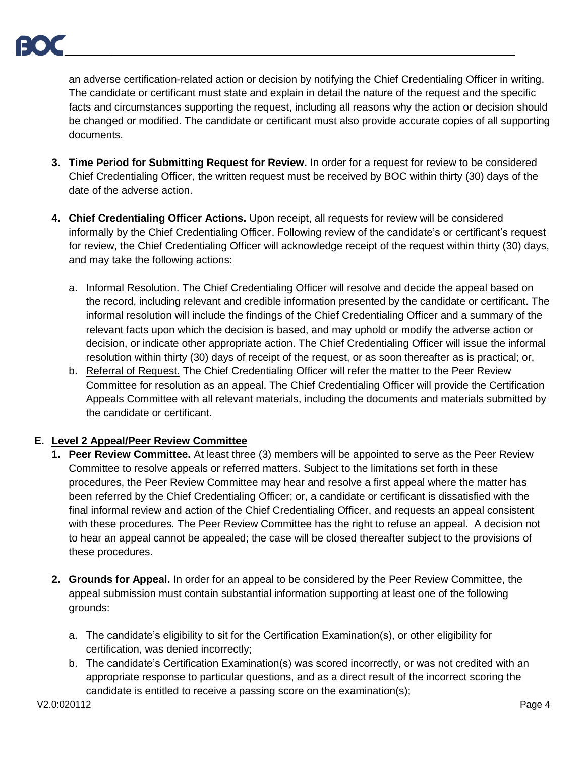an adverse certification-related action or decision by notifying the Chief Credentialing Officer in writing. The candidate or certificant must state and explain in detail the nature of the request and the specific facts and circumstances supporting the request, including all reasons why the action or decision should be changed or modified. The candidate or certificant must also provide accurate copies of all supporting documents.

- **3. Time Period for Submitting Request for Review.** In order for a request for review to be considered Chief Credentialing Officer, the written request must be received by BOC within thirty (30) days of the date of the adverse action.
- **4. Chief Credentialing Officer Actions.** Upon receipt, all requests for review will be considered informally by the Chief Credentialing Officer. Following review of the candidate's or certificant's request for review, the Chief Credentialing Officer will acknowledge receipt of the request within thirty (30) days, and may take the following actions:
	- a. Informal Resolution. The Chief Credentialing Officer will resolve and decide the appeal based on the record, including relevant and credible information presented by the candidate or certificant. The informal resolution will include the findings of the Chief Credentialing Officer and a summary of the relevant facts upon which the decision is based, and may uphold or modify the adverse action or decision, or indicate other appropriate action. The Chief Credentialing Officer will issue the informal resolution within thirty (30) days of receipt of the request, or as soon thereafter as is practical; or,
	- b. Referral of Request. The Chief Credentialing Officer will refer the matter to the Peer Review Committee for resolution as an appeal. The Chief Credentialing Officer will provide the Certification Appeals Committee with all relevant materials, including the documents and materials submitted by the candidate or certificant.

# **E. Level 2 Appeal/Peer Review Committee**

- **1. Peer Review Committee.** At least three (3) members will be appointed to serve as the Peer Review Committee to resolve appeals or referred matters. Subject to the limitations set forth in these procedures, the Peer Review Committee may hear and resolve a first appeal where the matter has been referred by the Chief Credentialing Officer; or, a candidate or certificant is dissatisfied with the final informal review and action of the Chief Credentialing Officer, and requests an appeal consistent with these procedures. The Peer Review Committee has the right to refuse an appeal. A decision not to hear an appeal cannot be appealed; the case will be closed thereafter subject to the provisions of these procedures.
- **2. Grounds for Appeal.** In order for an appeal to be considered by the Peer Review Committee, the appeal submission must contain substantial information supporting at least one of the following grounds:
	- a. The candidate's eligibility to sit for the Certification Examination(s), or other eligibility for certification, was denied incorrectly;
	- b. The candidate's Certification Examination(s) was scored incorrectly, or was not credited with an appropriate response to particular questions, and as a direct result of the incorrect scoring the candidate is entitled to receive a passing score on the examination(s);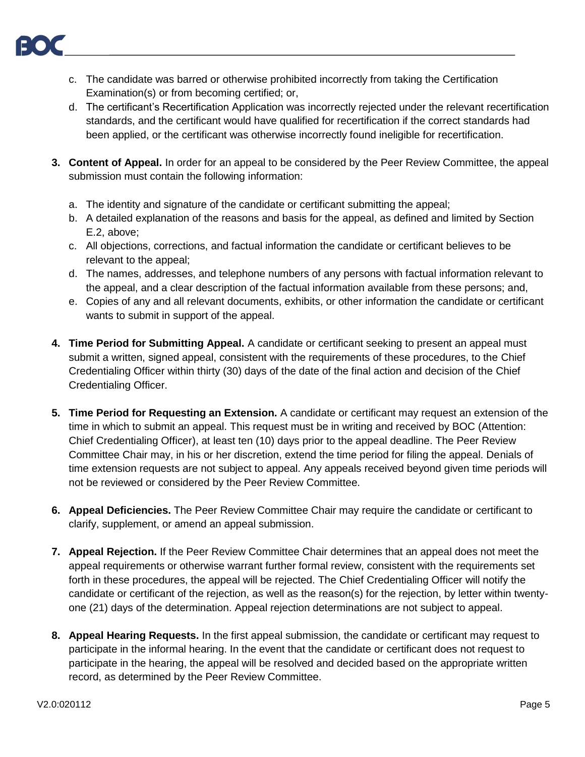

- c. The candidate was barred or otherwise prohibited incorrectly from taking the Certification Examination(s) or from becoming certified; or,
- d. The certificant's Recertification Application was incorrectly rejected under the relevant recertification standards, and the certificant would have qualified for recertification if the correct standards had been applied, or the certificant was otherwise incorrectly found ineligible for recertification.
- **3. Content of Appeal.** In order for an appeal to be considered by the Peer Review Committee, the appeal submission must contain the following information:
	- a. The identity and signature of the candidate or certificant submitting the appeal;
	- b. A detailed explanation of the reasons and basis for the appeal, as defined and limited by Section E.2, above;
	- c. All objections, corrections, and factual information the candidate or certificant believes to be relevant to the appeal;
	- d. The names, addresses, and telephone numbers of any persons with factual information relevant to the appeal, and a clear description of the factual information available from these persons; and,
	- e. Copies of any and all relevant documents, exhibits, or other information the candidate or certificant wants to submit in support of the appeal.
- **4. Time Period for Submitting Appeal.** A candidate or certificant seeking to present an appeal must submit a written, signed appeal, consistent with the requirements of these procedures, to the Chief Credentialing Officer within thirty (30) days of the date of the final action and decision of the Chief Credentialing Officer.
- **5. Time Period for Requesting an Extension.** A candidate or certificant may request an extension of the time in which to submit an appeal. This request must be in writing and received by BOC (Attention: Chief Credentialing Officer), at least ten (10) days prior to the appeal deadline. The Peer Review Committee Chair may, in his or her discretion, extend the time period for filing the appeal. Denials of time extension requests are not subject to appeal. Any appeals received beyond given time periods will not be reviewed or considered by the Peer Review Committee.
- **6. Appeal Deficiencies.** The Peer Review Committee Chair may require the candidate or certificant to clarify, supplement, or amend an appeal submission.
- **7. Appeal Rejection.** If the Peer Review Committee Chair determines that an appeal does not meet the appeal requirements or otherwise warrant further formal review, consistent with the requirements set forth in these procedures, the appeal will be rejected. The Chief Credentialing Officer will notify the candidate or certificant of the rejection, as well as the reason(s) for the rejection, by letter within twentyone (21) days of the determination. Appeal rejection determinations are not subject to appeal.
- **8. Appeal Hearing Requests.** In the first appeal submission, the candidate or certificant may request to participate in the informal hearing. In the event that the candidate or certificant does not request to participate in the hearing, the appeal will be resolved and decided based on the appropriate written record, as determined by the Peer Review Committee.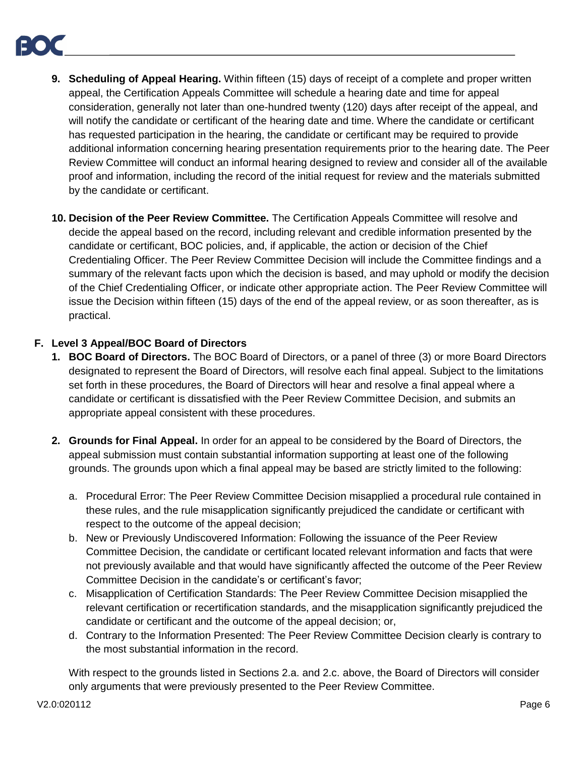- **9. Scheduling of Appeal Hearing.** Within fifteen (15) days of receipt of a complete and proper written appeal, the Certification Appeals Committee will schedule a hearing date and time for appeal consideration, generally not later than one-hundred twenty (120) days after receipt of the appeal, and will notify the candidate or certificant of the hearing date and time. Where the candidate or certificant has requested participation in the hearing, the candidate or certificant may be required to provide additional information concerning hearing presentation requirements prior to the hearing date. The Peer Review Committee will conduct an informal hearing designed to review and consider all of the available proof and information, including the record of the initial request for review and the materials submitted by the candidate or certificant.
- **10. Decision of the Peer Review Committee.** The Certification Appeals Committee will resolve and decide the appeal based on the record, including relevant and credible information presented by the candidate or certificant, BOC policies, and, if applicable, the action or decision of the Chief Credentialing Officer. The Peer Review Committee Decision will include the Committee findings and a summary of the relevant facts upon which the decision is based, and may uphold or modify the decision of the Chief Credentialing Officer, or indicate other appropriate action. The Peer Review Committee will issue the Decision within fifteen (15) days of the end of the appeal review, or as soon thereafter, as is practical.

# **F. Level 3 Appeal/BOC Board of Directors**

- **1. BOC Board of Directors.** The BOC Board of Directors, or a panel of three (3) or more Board Directors designated to represent the Board of Directors, will resolve each final appeal. Subject to the limitations set forth in these procedures, the Board of Directors will hear and resolve a final appeal where a candidate or certificant is dissatisfied with the Peer Review Committee Decision, and submits an appropriate appeal consistent with these procedures.
- **2. Grounds for Final Appeal.** In order for an appeal to be considered by the Board of Directors, the appeal submission must contain substantial information supporting at least one of the following grounds. The grounds upon which a final appeal may be based are strictly limited to the following:
	- a. Procedural Error: The Peer Review Committee Decision misapplied a procedural rule contained in these rules, and the rule misapplication significantly prejudiced the candidate or certificant with respect to the outcome of the appeal decision;
	- b. New or Previously Undiscovered Information: Following the issuance of the Peer Review Committee Decision, the candidate or certificant located relevant information and facts that were not previously available and that would have significantly affected the outcome of the Peer Review Committee Decision in the candidate's or certificant's favor;
	- c. Misapplication of Certification Standards: The Peer Review Committee Decision misapplied the relevant certification or recertification standards, and the misapplication significantly prejudiced the candidate or certificant and the outcome of the appeal decision; or,
	- d. Contrary to the Information Presented: The Peer Review Committee Decision clearly is contrary to the most substantial information in the record.

With respect to the grounds listed in Sections 2.a. and 2.c. above, the Board of Directors will consider only arguments that were previously presented to the Peer Review Committee.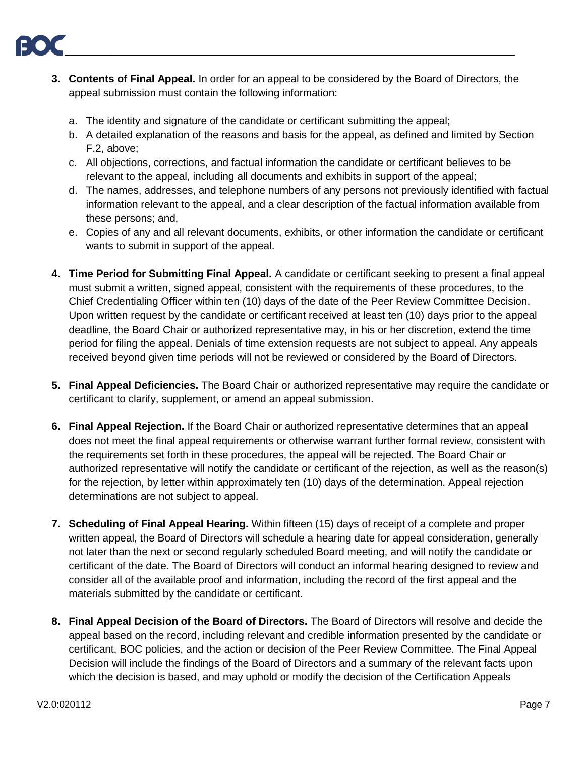- **3. Contents of Final Appeal.** In order for an appeal to be considered by the Board of Directors, the appeal submission must contain the following information:
	- a. The identity and signature of the candidate or certificant submitting the appeal;
	- b. A detailed explanation of the reasons and basis for the appeal, as defined and limited by Section F.2, above;
	- c. All objections, corrections, and factual information the candidate or certificant believes to be relevant to the appeal, including all documents and exhibits in support of the appeal;
	- d. The names, addresses, and telephone numbers of any persons not previously identified with factual information relevant to the appeal, and a clear description of the factual information available from these persons; and,
	- e. Copies of any and all relevant documents, exhibits, or other information the candidate or certificant wants to submit in support of the appeal.
- **4. Time Period for Submitting Final Appeal.** A candidate or certificant seeking to present a final appeal must submit a written, signed appeal, consistent with the requirements of these procedures, to the Chief Credentialing Officer within ten (10) days of the date of the Peer Review Committee Decision. Upon written request by the candidate or certificant received at least ten (10) days prior to the appeal deadline, the Board Chair or authorized representative may, in his or her discretion, extend the time period for filing the appeal. Denials of time extension requests are not subject to appeal. Any appeals received beyond given time periods will not be reviewed or considered by the Board of Directors.
- **5. Final Appeal Deficiencies.** The Board Chair or authorized representative may require the candidate or certificant to clarify, supplement, or amend an appeal submission.
- **6. Final Appeal Rejection.** If the Board Chair or authorized representative determines that an appeal does not meet the final appeal requirements or otherwise warrant further formal review, consistent with the requirements set forth in these procedures, the appeal will be rejected. The Board Chair or authorized representative will notify the candidate or certificant of the rejection, as well as the reason(s) for the rejection, by letter within approximately ten (10) days of the determination. Appeal rejection determinations are not subject to appeal.
- **7. Scheduling of Final Appeal Hearing.** Within fifteen (15) days of receipt of a complete and proper written appeal, the Board of Directors will schedule a hearing date for appeal consideration, generally not later than the next or second regularly scheduled Board meeting, and will notify the candidate or certificant of the date. The Board of Directors will conduct an informal hearing designed to review and consider all of the available proof and information, including the record of the first appeal and the materials submitted by the candidate or certificant.
- **8. Final Appeal Decision of the Board of Directors.** The Board of Directors will resolve and decide the appeal based on the record, including relevant and credible information presented by the candidate or certificant, BOC policies, and the action or decision of the Peer Review Committee. The Final Appeal Decision will include the findings of the Board of Directors and a summary of the relevant facts upon which the decision is based, and may uphold or modify the decision of the Certification Appeals